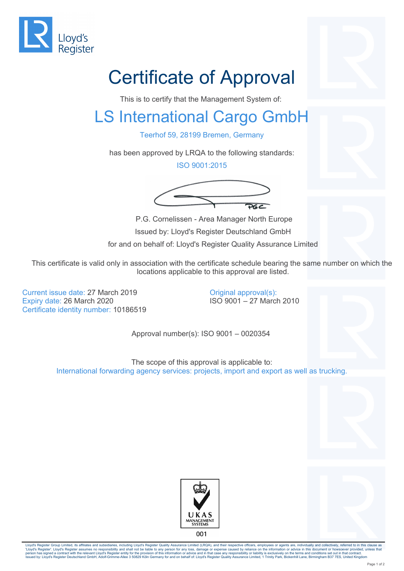

## Certificate of Approval

This is to certify that the Management System of:

## LS International Cargo GmbH

Teerhof 59, 28199 Bremen, Germany

has been approved by LRQA to the following standards:

ISO 9001:2015



 P.G. Cornelissen - Area Manager North Europe Issued by: Lloyd's Register Deutschland GmbH for and on behalf of: Lloyd's Register Quality Assurance Limited

This certificate is valid only in association with the certificate schedule bearing the same number on which the locations applicable to this approval are listed.

Current issue date: 27 March 2019 Expiry date: 26 March 2020 Certificate identity number: 10186519

Original approval(s): ISO 9001 – 27 March 2010

Approval number(s): ISO 9001 – 0020354

The scope of this approval is applicable to: International forwarding agency services: projects, import and export as well as trucking.





Lloyd's Register Group Limited, its affiliates and subsidiaries, including Lloyd's Register Quality Assurance Limited (LRQA), and their respective officers, employees or agents are, individually and collectively, referred